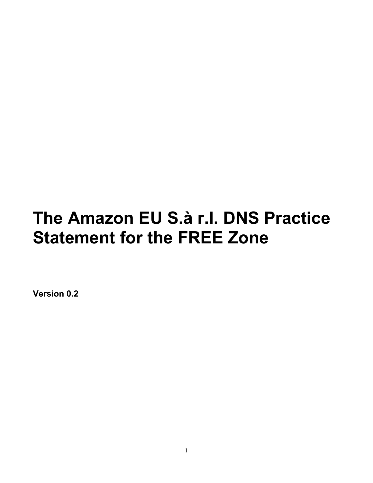# The Amazon EU S.à r.l. DNS Practice **Statement for the FREE Zone**

Version 0.2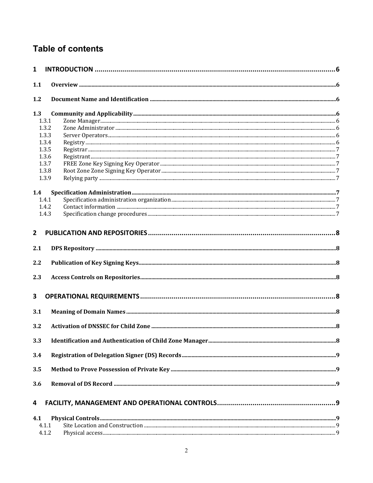## Table of contents

| $\mathbf{1}$   |  |
|----------------|--|
| 1.1            |  |
| 1.2            |  |
| 1.3            |  |
| 1.3.1          |  |
| 1.3.2          |  |
| 1.3.3          |  |
| 1.3.4<br>1.3.5 |  |
| 1.3.6          |  |
| 1.3.7          |  |
| 1.3.8          |  |
| 1.3.9          |  |
| 1.4            |  |
| 1.4.1          |  |
| 1.4.2          |  |
| 1.4.3          |  |
| $\mathbf{2}$   |  |
| 2.1            |  |
| 2.2            |  |
| 2.3            |  |
| 3              |  |
| 3.1            |  |
| 3.2            |  |
| 3.3            |  |
| 3.4            |  |
| 3.5            |  |
| 3.6            |  |
| 4              |  |
| 4.1            |  |
| 4.1.1          |  |
| 4.1.2          |  |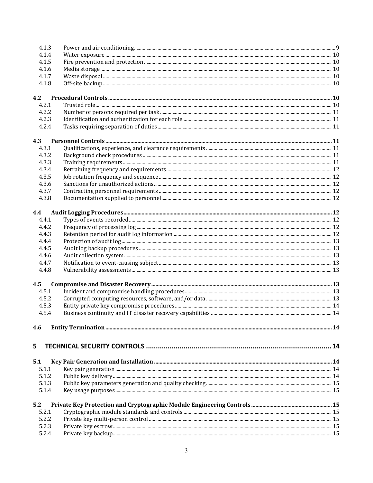| 4.1.3 |  |
|-------|--|
| 4.1.4 |  |
| 4.1.5 |  |
| 4.1.6 |  |
| 4.1.7 |  |
| 4.1.8 |  |
| 4.2   |  |
| 4.2.1 |  |
| 4.2.2 |  |
| 4.2.3 |  |
| 4.2.4 |  |
| 4.3   |  |
| 4.3.1 |  |
| 4.3.2 |  |
| 4.3.3 |  |
| 4.3.4 |  |
| 4.3.5 |  |
| 4.3.6 |  |
| 4.3.7 |  |
| 4.3.8 |  |
| 4.4   |  |
| 4.4.1 |  |
| 4.4.2 |  |
| 4.4.3 |  |
| 4.4.4 |  |
| 4.4.5 |  |
| 4.4.6 |  |
| 4.4.7 |  |
| 4.4.8 |  |
| 4.5   |  |
| 4.5.1 |  |
| 4.5.2 |  |
| 4.5.3 |  |
| 4.5.4 |  |
| 4.6   |  |
|       |  |
| 5     |  |
| 5.1   |  |
| 5.1.1 |  |
| 5.1.2 |  |
| 5.1.3 |  |
| 5.1.4 |  |
| 5.2   |  |
| 5.2.1 |  |
| 5.2.2 |  |
| 5.2.3 |  |
| 5.2.4 |  |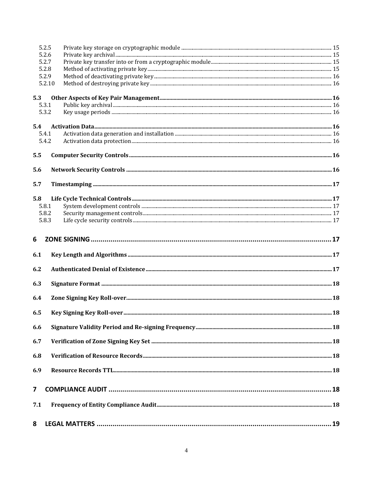| 5.2.5                   |        |  |
|-------------------------|--------|--|
| 5.2.6                   |        |  |
| 5.2.7                   |        |  |
| 5.2.8                   |        |  |
| 5.2.9                   |        |  |
|                         | 5.2.10 |  |
| 5.3                     |        |  |
| 5.3.1                   |        |  |
| 5.3.2                   |        |  |
| 5.4                     |        |  |
| 5.4.1                   |        |  |
| 5.4.2                   |        |  |
| 5.5                     |        |  |
| 5.6                     |        |  |
| 5.7                     |        |  |
|                         |        |  |
| 5.8                     |        |  |
| 5.8.1                   |        |  |
| 5.8.2                   |        |  |
| 5.8.3                   |        |  |
| 6                       |        |  |
|                         |        |  |
| 6.1                     |        |  |
| 6.2                     |        |  |
|                         |        |  |
| 6.3                     |        |  |
| 6.4                     |        |  |
| 6.5                     |        |  |
| 6.6                     |        |  |
| 6.7                     |        |  |
| 6.8                     |        |  |
| 6.9                     |        |  |
|                         |        |  |
| $\overline{\mathbf{z}}$ |        |  |
| 7.1                     |        |  |
|                         |        |  |
| 8                       |        |  |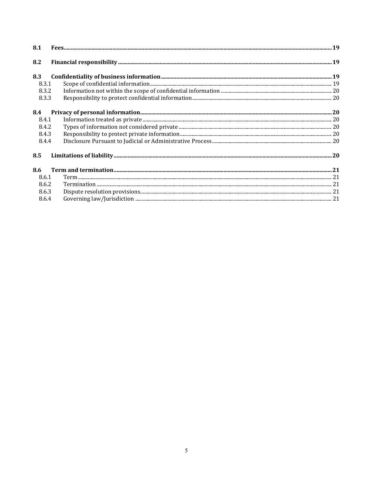| 8.1   |  |
|-------|--|
| 8.2   |  |
| 8.3   |  |
| 8.3.1 |  |
| 8.3.2 |  |
| 8.3.3 |  |
| 8.4   |  |
| 8.4.1 |  |
| 8.4.2 |  |
| 8.4.3 |  |
| 8.4.4 |  |
| 8.5   |  |
| 8.6   |  |
| 8.6.1 |  |
| 8.6.2 |  |
| 8.6.3 |  |
| 8.6.4 |  |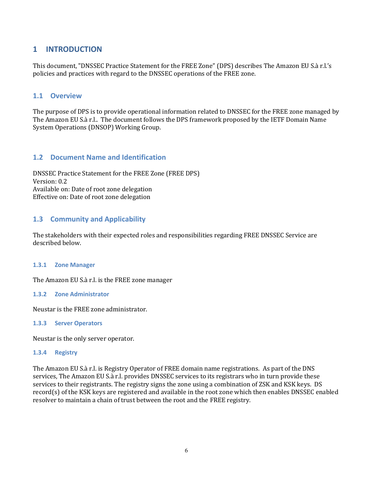## <span id="page-5-0"></span>**1 INTRODUCTION**

This document, "DNSSEC Practice Statement for the FREE Zone" (DPS) describes The Amazon EU S.à r.l.'s policies and practices with regard to the DNSSEC operations of the FREE zone.

## <span id="page-5-1"></span>**1.1 Overview**

The purpose of DPS is to provide operational information related to DNSSEC for the FREE zone managed by The Amazon EU S.à r.l.. The document follows the DPS framework proposed by the IETF Domain Name System Operations (DNSOP) Working Group.

## <span id="page-5-2"></span>**1.2 Document Name and Identification**

DNSSEC Practice Statement for the FREE Zone (FREE DPS) Version: 0.2 Available on: Date of root zone delegation Effective on: Date of root zone delegation

## <span id="page-5-3"></span>**1.3 Community and Applicability**

The stakeholders with their expected roles and responsibilities regarding FREE DNSSEC Service are described below.

#### <span id="page-5-4"></span>**1.3.1 Zone Manager**

The Amazon EU S.à r.l. is the FREE zone manager

#### <span id="page-5-5"></span>**1.3.2 Zone Administrator**

Neustar is the FREE zone administrator.

#### <span id="page-5-6"></span>**1.3.3 Server Operators**

Neustar is the only server operator.

#### <span id="page-5-7"></span>**1.3.4 Registry**

The Amazon EU S.à r.l. is Registry Operator of FREE domain name registrations. As part of the DNS services, The Amazon EU S.à r.l. provides DNSSEC services to its registrars who in turn provide these services to their registrants. The registry signs the zone using a combination of ZSK and KSK keys. DS record(s) of the KSK keys are registered and available in the root zone which then enables DNSSEC enabled resolver to maintain a chain of trust between the root and the FREE registry.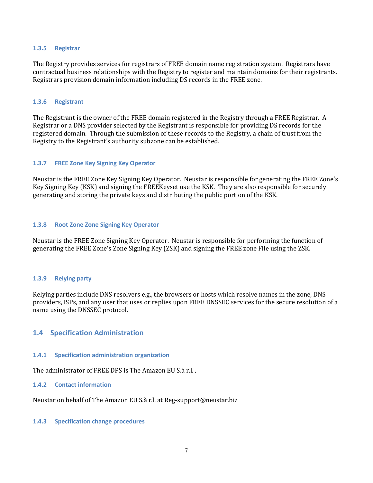#### <span id="page-6-0"></span>**1.3.5 Registrar**

The Registry provides services for registrars of FREE domain name registration system. Registrars have contractual business relationships with the Registry to register and maintain domains for their registrants. Registrars provision domain information including DS records in the FREE zone.

#### <span id="page-6-1"></span>**1.3.6 Registrant**

The Registrant is the owner of the FREE domain registered in the Registry through a FREE Registrar. A Registrar or a DNS provider selected by the Registrant is responsible for providing DS records for the registered domain. Through the submission of these records to the Registry, a chain of trust from the Registry to the Registrant's authority subzone can be established.

#### <span id="page-6-2"></span>**1.3.7 FREE Zone Key Signing Key Operator**

Neustar is the FREE Zone Key Signing Key Operator. Neustar is responsible for generating the FREE Zone's Key Signing Key (KSK) and signing the FREEKeyset use the KSK. They are also responsible for securely generating and storing the private keys and distributing the public portion of the KSK.

#### <span id="page-6-3"></span>**1.3.8 Root Zone Zone Signing Key Operator**

Neustar is the FREE Zone Signing Key Operator. Neustar is responsible for performing the function of generating the FREE Zone's Zone Signing Key (ZSK) and signing the FREE zone File using the ZSK.

#### <span id="page-6-4"></span>**1.3.9 Relying party**

Relying parties include DNS resolvers e.g., the browsers or hosts which resolve names in the zone, DNS providers, ISPs, and any user that uses or replies upon FREE DNSSEC services for the secure resolution of a name using the DNSSEC protocol.

## <span id="page-6-5"></span>**1.4 Specification Administration**

#### <span id="page-6-6"></span>**1.4.1 Specification administration organization**

The administrator of FREE DPS is The Amazon EU S.à r.l..

#### <span id="page-6-7"></span>**1.4.2 Contact information**

Neustar on behalf of The Amazon EU S.à r.l. at Reg-support@neustar.biz

#### <span id="page-6-8"></span>**1.4.3 Specification change procedures**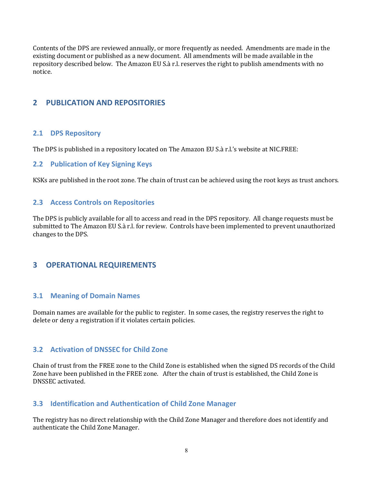Contents of the DPS are reviewed annually, or more frequently as needed. Amendments are made in the existing document or published as a new document. All amendments will be made available in the repository described below. The Amazon EU S.à r.l. reserves the right to publish amendments with no notice.

## <span id="page-7-0"></span>**2 PUBLICATION AND REPOSITORIES**

## <span id="page-7-1"></span>**2.1 DPS Repository**

The DPS is published in a repository located on The Amazon EU S.à r.l.'s website at NIC.FREE:

## <span id="page-7-2"></span>**2.2 Publication of Key Signing Keys**

KSKs are published in the root zone. The chain of trust can be achieved using the root keys as trust anchors.

#### <span id="page-7-3"></span>**2.3 Access Controls on Repositories**

The DPS is publicly available for all to access and read in the DPS repository. All change requests must be submitted to The Amazon EU S.à r.l. for review. Controls have been implemented to prevent unauthorized changes to the DPS.

## <span id="page-7-4"></span>**3 OPERATIONAL REQUIREMENTS**

## <span id="page-7-5"></span>**3.1 Meaning of Domain Names**

Domain names are available for the public to register. In some cases, the registry reserves the right to delete or deny a registration if it violates certain policies.

## <span id="page-7-6"></span>**3.2 Activation of DNSSEC for Child Zone**

Chain of trust from the FREE zone to the Child Zone is established when the signed DS records of the Child Zone have been published in the FREE zone. After the chain of trust is established, the Child Zone is DNSSEC activated.

## <span id="page-7-7"></span>**3.3 Identification and Authentication of Child Zone Manager**

The registry has no direct relationship with the Child Zone Manager and therefore does not identify and authenticate the Child Zone Manager.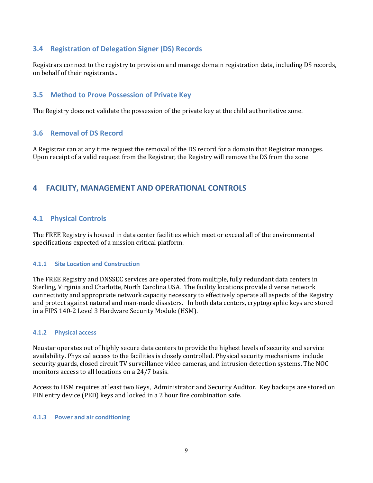## <span id="page-8-0"></span>**3.4 Registration of Delegation Signer (DS) Records**

Registrars connect to the registry to provision and manage domain registration data, including DS records, on behalf of their registrants..

## <span id="page-8-1"></span>**3.5 Method to Prove Possession of Private Key**

The Registry does not validate the possession of the private key at the child authoritative zone.

## <span id="page-8-2"></span>**3.6 Removal of DS Record**

A Registrar can at any time request the removal of the DS record for a domain that Registrar manages. Upon receipt of a valid request from the Registrar, the Registry will remove the DS from the zone

## <span id="page-8-3"></span>**4 FACILITY, MANAGEMENT AND OPERATIONAL CONTROLS**

## <span id="page-8-4"></span>**4.1 Physical Controls**

The FREE Registry is housed in data center facilities which meet or exceed all of the environmental specifications expected of a mission critical platform.

#### <span id="page-8-5"></span>**4.1.1 Site Location and Construction**

The FREE Registry and DNSSEC services are operated from multiple, fully redundant data centers in Sterling, Virginia and Charlotte, North Carolina USA. The facility locations provide diverse network connectivity and appropriate network capacity necessary to effectively operate all aspects of the Registry and protect against natural and man-made disasters. In both data centers, cryptographic keys are stored in a FIPS 140-2 Level 3 Hardware Security Module (HSM).

#### <span id="page-8-6"></span>**4.1.2 Physical access**

Neustar operates out of highly secure data centers to provide the highest levels of security and service availability. Physical access to the facilities is closely controlled. Physical security mechanisms include security guards, closed circuit TV surveillance video cameras, and intrusion detection systems. The NOC monitors access to all locations on a 24/7 basis.

Access to HSM requires at least two Keys, Administrator and Security Auditor. Key backups are stored on PIN entry device (PED) keys and locked in a 2 hour fire combination safe.

#### <span id="page-8-7"></span>**4.1.3 Power and air conditioning**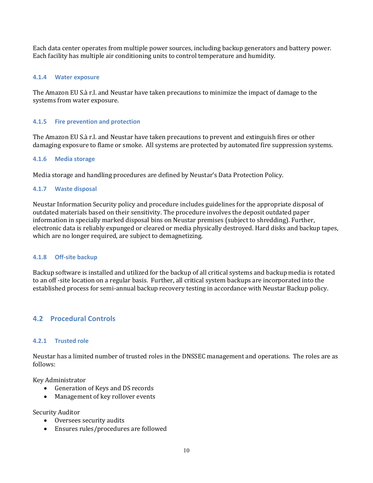Each data center operates from multiple power sources, including backup generators and battery power. Each facility has multiple air conditioning units to control temperature and humidity.

#### <span id="page-9-0"></span>**4.1.4 Water exposure**

The Amazon EU S.à r.l. and Neustar have taken precautions to minimize the impact of damage to the systems from water exposure.

#### <span id="page-9-1"></span>**4.1.5 Fire prevention and protection**

The Amazon EU S.à r.l. and Neustar have taken precautions to prevent and extinguish fires or other damaging exposure to flame or smoke. All systems are protected by automated fire suppression systems.

#### <span id="page-9-2"></span>**4.1.6 Media storage**

Media storage and handling procedures are defined by Neustar's Data Protection Policy.

#### <span id="page-9-3"></span>**4.1.7 Waste disposal**

Neustar Information Security policy and procedure includes guidelines for the appropriate disposal of outdated materials based on their sensitivity. The procedure involves the deposit outdated paper information in specially marked disposal bins on Neustar premises (subject to shredding). Further, electronic data is reliably expunged or cleared or media physically destroyed. Hard disks and backup tapes, which are no longer required, are subject to demagnetizing.

#### <span id="page-9-4"></span>**4.1.8 Off-site backup**

Backup software is installed and utilized for the backup of all critical systems and backup media is rotated to an off -site location on a regular basis. Further, all critical system backups are incorporated into the established process for semi-annual backup recovery testing in accordance with Neustar Backup policy.

## <span id="page-9-5"></span>**4.2 Procedural Controls**

#### <span id="page-9-6"></span>**4.2.1 Trusted role**

Neustar has a limited number of trusted roles in the DNSSEC management and operations. The roles are as follows:

Key Administrator

- Generation of Keys and DS records
- Management of key rollover events

Security Auditor

- Oversees security audits
- Ensures rules/procedures are followed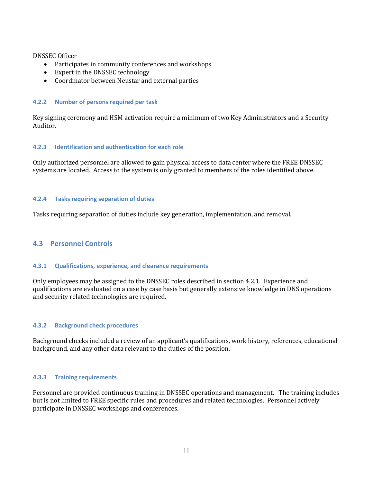DNSSEC Officer

- $\bullet$  Participates in community conferences and workshops
- Expert in the DNSSEC technology
- Coordinator between Neustar and external parties

#### <span id="page-10-0"></span>**4.2.2 Number of persons required per task**

Key signing ceremony and HSM activation require a minimum of two Key Administrators and a Security Auditor.

#### <span id="page-10-1"></span>**4.2.3 Identification and authentication for each role**

Only authorized personnel are allowed to gain physical access to data center where the FREE DNSSEC systems are located. Access to the system is only granted to members of the roles identified above.

#### <span id="page-10-2"></span>**4.2.4 Tasks requiring separation of duties**

Tasks requiring separation of duties include key generation, implementation, and removal.

## <span id="page-10-3"></span>**4.3 Personnel Controls**

#### <span id="page-10-4"></span>**4.3.1 Qualifications, experience, and clearance requirements**

Only employees may be assigned to the DNSSEC roles described in section 4.2.1. Experience and qualifications are evaluated on a case by case basis but generally extensive knowledge in DNS operations and security related technologies are required.

#### <span id="page-10-5"></span>**4.3.2 Background check procedures**

Background checks included a review of an applicant's qualifications, work history, references, educational background, and any other data relevant to the duties of the position.

#### <span id="page-10-6"></span>**4.3.3 Training requirements**

Personnel are provided continuous training in DNSSEC operations and management. The training includes but is not limited to FREE specific rules and procedures and related technologies. Personnel actively participate in DNSSEC workshops and conferences.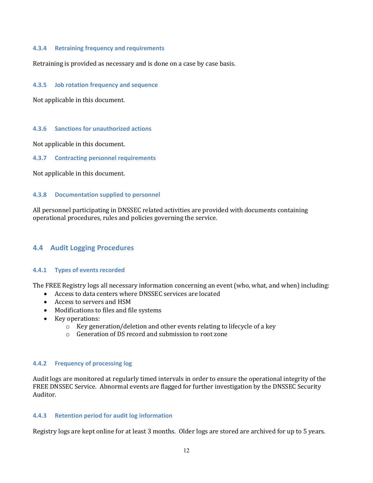#### <span id="page-11-0"></span>**4.3.4 Retraining frequency and requirements**

Retraining is provided as necessary and is done on a case by case basis.

#### <span id="page-11-1"></span>**4.3.5 Job rotation frequency and sequence**

Not applicable in this document.

#### <span id="page-11-2"></span>**4.3.6 Sanctions for unauthorized actions**

Not applicable in this document.

<span id="page-11-3"></span>**4.3.7 Contracting personnel requirements**

Not applicable in this document.

#### <span id="page-11-4"></span>**4.3.8 Documentation supplied to personnel**

All personnel participating in DNSSEC related activities are provided with documents containing operational procedures, rules and policies governing the service.

## <span id="page-11-5"></span>**4.4 Audit Logging Procedures**

#### <span id="page-11-6"></span>**4.4.1 Types of events recorded**

The FREE Registry logs all necessary information concerning an event (who, what, and when) including:

- $\bullet$  Access to data centers where DNSSEC services are located
- Access to servers and HSM
- Modifications to files and file systems
- Key operations:
	- o Key generation/deletion and other events relating to lifecycle of a key
	- o Generation of DS record and submission to root zone

#### <span id="page-11-7"></span>**4.4.2 Frequency of processing log**

Audit logs are monitored at regularly timed intervals in order to ensure the operational integrity of the FREE DNSSEC Service. Abnormal events are flagged for further investigation by the DNSSEC Security Auditor.

#### <span id="page-11-8"></span>**4.4.3 Retention period for audit log information**

Registry logs are kept online for at least 3 months. Older logs are stored are archived for up to 5 years.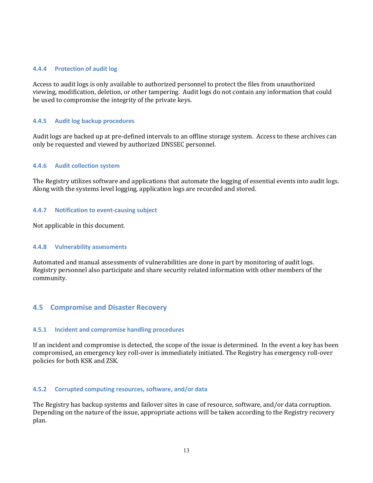#### <span id="page-12-0"></span>**4.4.4 Protection of audit log**

Access to audit logs is only available to authorized personnel to protect the files from unauthorized viewing, modification, deletion, or other tampering. Audit logs do not contain any information that could be used to compromise the integrity of the private keys.

#### <span id="page-12-1"></span>**4.4.5 Audit log backup procedures**

Audit logs are backed up at pre-defined intervals to an offline storage system. Access to these archives can only be requested and viewed by authorized DNSSEC personnel.

#### <span id="page-12-2"></span>**4.4.6 Audit collection system**

The Registry utilizes software and applications that automate the logging of essential events into audit logs. Along with the systems level logging, application logs are recorded and stored.

#### <span id="page-12-3"></span>**4.4.7 Notification to event-causing subject**

Not applicable in this document.

#### <span id="page-12-4"></span>**4.4.8 Vulnerability assessments**

Automated and manual assessments of vulnerabilities are done in part by monitoring of audit logs. Registry personnel also participate and share security related information with other members of the community.

## <span id="page-12-5"></span>**4.5 Compromise and Disaster Recovery**

#### <span id="page-12-6"></span>**4.5.1 Incident and compromise handling procedures**

If an incident and compromise is detected, the scope of the issue is determined. In the event a key has been compromised, an emergency key roll-over is immediately initiated. The Registry has emergency roll-over policies for both KSK and ZSK.

#### <span id="page-12-7"></span>**4.5.2 Corrupted computing resources, software, and/or data**

The Registry has backup systems and failover sites in case of resource, software, and/or data corruption. Depending on the nature of the issue, appropriate actions will be taken according to the Registry recovery plan.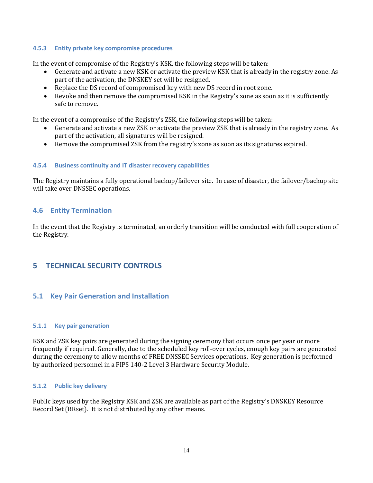#### <span id="page-13-0"></span>**4.5.3 Entity private key compromise procedures**

In the event of compromise of the Registry's KSK, the following steps will be taken:

- Generate and activate a new KSK or activate the preview KSK that is already in the registry zone. As part of the activation, the DNSKEY set will be resigned.
- Replace the DS record of compromised key with new DS record in root zone.
- Revoke and then remove the compromised KSK in the Registry's zone as soon as it is sufficiently safe to remove.

In the event of a compromise of the Registry's ZSK, the following steps will be taken:

- Generate and activate a new ZSK or activate the preview ZSK that is already in the registry zone. As part of the activation, all signatures will be resigned.
- Remove the compromised ZSK from the registry's zone as soon as its signatures expired.

#### <span id="page-13-1"></span>**4.5.4 Business continuity and IT disaster recovery capabilities**

The Registry maintains a fully operational backup/failover site. In case of disaster, the failover/backup site will take over DNSSEC operations.

## <span id="page-13-2"></span>**4.6 Entity Termination**

In the event that the Registry is terminated, an orderly transition will be conducted with full cooperation of the Registry.

## <span id="page-13-3"></span>**5 TECHNICAL SECURITY CONTROLS**

## <span id="page-13-4"></span>**5.1 Key Pair Generation and Installation**

#### <span id="page-13-5"></span>**5.1.1 Key pair generation**

KSK and ZSK key pairs are generated during the signing ceremony that occurs once per year or more frequently if required. Generally, due to the scheduled key roll-over cycles, enough key pairs are generated during the ceremony to allow months of FREE DNSSEC Services operations. Key generation is performed by authorized personnel in a FIPS 140-2 Level 3 Hardware Security Module.

#### <span id="page-13-6"></span>**5.1.2 Public key delivery**

Public keys used by the Registry KSK and ZSK are available as part of the Registry's DNSKEY Resource Record Set (RRset). It is not distributed by any other means.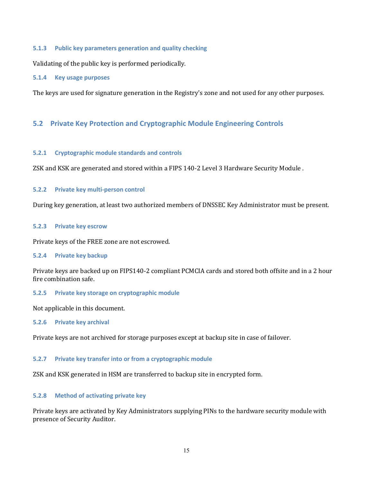#### <span id="page-14-0"></span>**5.1.3 Public key parameters generation and quality checking**

Validating of the public key is performed periodically.

#### <span id="page-14-1"></span>**5.1.4 Key usage purposes**

The keys are used for signature generation in the Registry's zone and not used for any other purposes.

## <span id="page-14-2"></span>**5.2 Private Key Protection and Cryptographic Module Engineering Controls**

#### <span id="page-14-3"></span>**5.2.1 Cryptographic module standards and controls**

ZSK and KSK are generated and stored within a FIPS 140-2 Level 3 Hardware Security Module .

#### <span id="page-14-4"></span>**5.2.2 Private key multi-person control**

During key generation, at least two authorized members of DNSSEC Key Administrator must be present.

#### <span id="page-14-5"></span>**5.2.3 Private key escrow**

Private keys of the FREE zone are not escrowed.

#### <span id="page-14-6"></span>**5.2.4 Private key backup**

Private keys are backed up on FIPS140-2 compliant PCMCIA cards and stored both offsite and in a 2 hour fire combination safe.

#### <span id="page-14-7"></span>**5.2.5 Private key storage on cryptographic module**

<span id="page-14-8"></span>Not applicable in this document.

#### **5.2.6 Private key archival**

Private keys are not archived for storage purposes except at backup site in case of failover.

#### <span id="page-14-9"></span>**5.2.7 Private key transfer into or from a cryptographic module**

ZSK and KSK generated in HSM are transferred to backup site in encrypted form.

#### <span id="page-14-10"></span>**5.2.8 Method of activating private key**

Private keys are activated by Key Administrators supplying PINs to the hardware security module with presence of Security Auditor.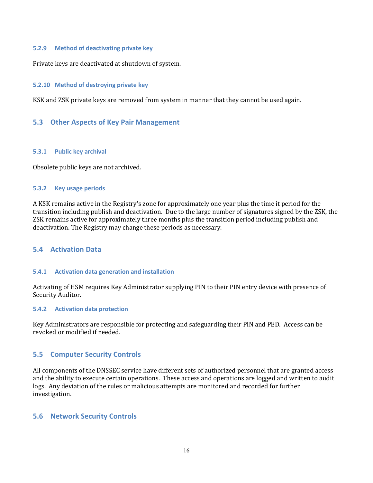#### <span id="page-15-0"></span>**5.2.9 Method of deactivating private key**

Private keys are deactivated at shutdown of system.

#### <span id="page-15-1"></span>**5.2.10 Method of destroying private key**

KSK and ZSK private keys are removed from system in manner that they cannot be used again.

#### <span id="page-15-2"></span>**5.3 Other Aspects of Key Pair Management**

#### <span id="page-15-3"></span>**5.3.1 Public key archival**

Obsolete public keys are not archived.

#### <span id="page-15-4"></span>**5.3.2 Key usage periods**

A KSK remains active in the Registry's zone for approximately one year plus the time it period for the transition including publish and deactivation. Due to the large number of signatures signed by the ZSK, the ZSK remains active for approximately three months plus the transition period including publish and deactivation. The Registry may change these periods as necessary.

### <span id="page-15-5"></span>**5.4 Activation Data**

#### <span id="page-15-6"></span>**5.4.1 Activation data generation and installation**

Activating of HSM requires Key Administrator supplying PIN to their PIN entry device with presence of Security Auditor.

#### <span id="page-15-7"></span>**5.4.2 Activation data protection**

Key Administrators are responsible for protecting and safeguarding their PIN and PED. Access can be revoked or modified if needed.

## <span id="page-15-8"></span>**5.5 Computer Security Controls**

All components of the DNSSEC service have different sets of authorized personnel that are granted access and the ability to execute certain operations. These access and operations are logged and written to audit logs. Any deviation of the rules or malicious attempts are monitored and recorded for further investigation.

## <span id="page-15-9"></span>**5.6 Network Security Controls**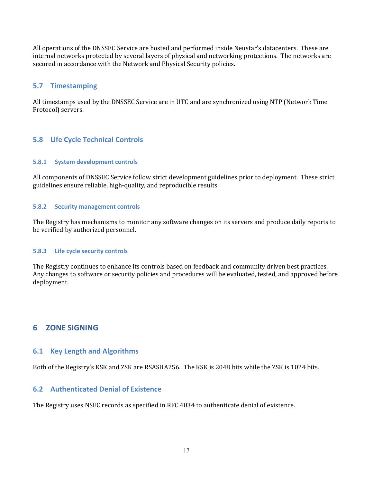All operations of the DNSSEC Service are hosted and performed inside Neustar's datacenters. These are internal networks protected by several layers of physical and networking protections. The networks are secured in accordance with the Network and Physical Security policies.

## <span id="page-16-0"></span>**5.7 Timestamping**

All timestamps used by the DNSSEC Service are in UTC and are synchronized using NTP (Network Time Protocol) servers.

## <span id="page-16-1"></span>**5.8 Life Cycle Technical Controls**

#### <span id="page-16-2"></span>**5.8.1 System development controls**

All components of DNSSEC Service follow strict development guidelines prior to deployment. These strict guidelines ensure reliable, high-quality, and reproducible results.

#### <span id="page-16-3"></span>**5.8.2 Security management controls**

The Registry has mechanisms to monitor any software changes on its servers and produce daily reports to be verified by authorized personnel.

#### <span id="page-16-4"></span>**5.8.3 Life cycle security controls**

The Registry continues to enhance its controls based on feedback and community driven best practices. Any changes to software or security policies and procedures will be evaluated, tested, and approved before deployment.

## <span id="page-16-5"></span>**6 ZONE SIGNING**

#### <span id="page-16-6"></span>**6.1 Key Length and Algorithms**

Both of the Registry's KSK and ZSK are RSASHA256. The KSK is 2048 bits while the ZSK is 1024 bits.

## <span id="page-16-7"></span>**6.2 Authenticated Denial of Existence**

The Registry uses NSEC records as specified in RFC 4034 to authenticate denial of existence.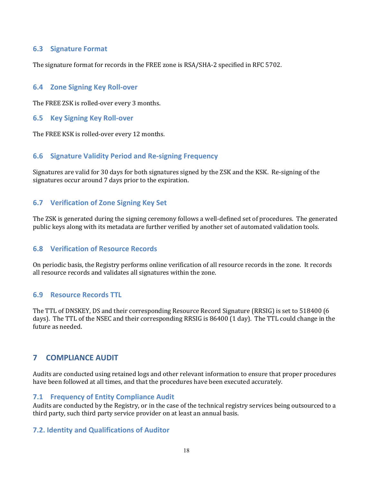## <span id="page-17-0"></span>**6.3 Signature Format**

The signature format for records in the FREE zone is RSA/SHA-2 specified in RFC 5702.

## <span id="page-17-1"></span>**6.4 Zone Signing Key Roll-over**

The FREE ZSK is rolled-over every 3 months.

## <span id="page-17-2"></span>**6.5 Key Signing Key Roll-over**

The FREE KSK is rolled-over every 12 months.

## <span id="page-17-3"></span>**6.6 Signature Validity Period and Re-signing Frequency**

Signatures are valid for 30 days for both signatures signed by the ZSK and the KSK. Re-signing of the signatures occur around 7 days prior to the expiration.

## <span id="page-17-4"></span>**6.7 Verification of Zone Signing Key Set**

The ZSK is generated during the signing ceremony follows a well-defined set of procedures. The generated public keys along with its metadata are further verified by another set of automated validation tools.

## <span id="page-17-5"></span>**6.8 Verification of Resource Records**

On periodic basis, the Registry performs online verification of all resource records in the zone. It records all resource records and validates all signatures within the zone.

## <span id="page-17-6"></span>**6.9 Resource Records TTL**

The TTL of DNSKEY, DS and their corresponding Resource Record Signature (RRSIG) is set to 518400 (6 days). The TTL of the NSEC and their corresponding RRSIG is 86400 (1 day). The TTL could change in the future as needed.

## <span id="page-17-7"></span>**7 COMPLIANCE AUDIT**

Audits are conducted using retained logs and other relevant information to ensure that proper procedures have been followed at all times, and that the procedures have been executed accurately.

## <span id="page-17-8"></span>**7.1 Frequency of Entity Compliance Audit**

Audits are conducted by the Registry, or in the case of the technical registry services being outsourced to a third party, such third party service provider on at least an annual basis.

## **7.2. Identity and Qualifications of Auditor**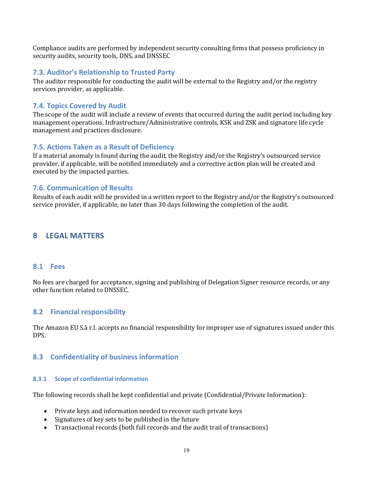Compliance audits are performed by independent security consulting firms that possess proficiency in security audits, security tools, DNS, and DNSSEC

## **7.3. Auditor's Relationship to Trusted Party**

The auditor responsible for conducting the audit will be external to the Registry and/or the registry services provider, as applicable.

## **7.4. Topics Covered by Audit**

The scope of the audit will include a review of events that occurred during the audit period including key management operations, Infrastructure/Administrative controls, KSK and ZSK and signature life cycle management and practices disclosure.

## **7.5. Actions Taken as a Result of Deficiency**

If a material anomaly is found during the audit, the Registry and/or the Registry's outsourced service provider, if applicable, will be notified immediately and a corrective action plan will be created and executed by the impacted parties.

## **7.6. Communication of Results**

Results of each audit will be provided in a written report to the Registry and/or the Registry's outsourced service provider, if applicable, no later than 30 days following the completion of the audit.

## <span id="page-18-0"></span>**8 LEGAL MATTERS**

## <span id="page-18-1"></span>**8.1 Fees**

No fees are charged for acceptance, signing and publishing of Delegation Signer resource records, or any other function related to DNSSEC.

## <span id="page-18-2"></span>**8.2 Financial responsibility**

The Amazon EU S.à r.l. accepts no financial responsibility for improper use of signatures issued under this DPS.

## <span id="page-18-3"></span>**8.3 Confidentiality of business information**

## <span id="page-18-4"></span>**8.3.1 Scope of confidential information**

The following records shall be kept confidential and private (Confidential/Private Information):

- Private keys and information needed to recover such private keys
- $\bullet$  Signatures of key sets to be published in the future
- Transactional records (both full records and the audit trail of transactions)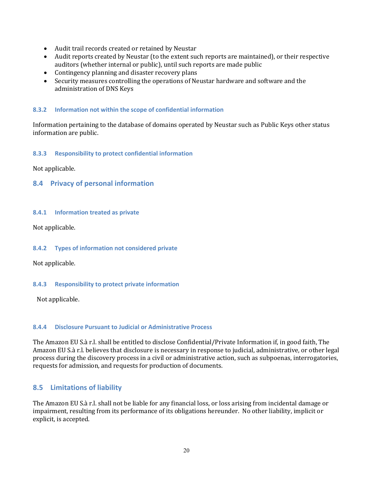- Audit trail records created or retained by Neustar
- Audit reports created by Neustar (to the extent such reports are maintained), or their respective auditors (whether internal or public), until such reports are made public
- $\bullet$  Contingency planning and disaster recovery plans
- Security measures controlling the operations of Neustar hardware and software and the administration of DNS Keys

#### <span id="page-19-0"></span>**8.3.2 Information not within the scope of confidential information**

Information pertaining to the database of domains operated by Neustar such as Public Keys other status information are public.

#### <span id="page-19-1"></span>**8.3.3 Responsibility to protect confidential information**

<span id="page-19-2"></span>Not applicable.

#### **8.4 Privacy of personal information**

#### <span id="page-19-3"></span>**8.4.1 Information treated as private**

Not applicable.

#### <span id="page-19-4"></span>**8.4.2 Types of information not considered private**

Not applicable.

#### <span id="page-19-5"></span>**8.4.3 Responsibility to protect private information**

Not applicable.

#### <span id="page-19-6"></span>**8.4.4 Disclosure Pursuant to Judicial or Administrative Process**

The Amazon EU S.à r.l. shall be entitled to disclose Confidential/Private Information if, in good faith, The Amazon EU S.à r.l. believes that disclosure is necessary in response to judicial, administrative, or other legal process during the discovery process in a civil or administrative action, such as subpoenas, interrogatories, requests for admission, and requests for production of documents.

## <span id="page-19-7"></span>**8.5 Limitations of liability**

The Amazon EU S.à r.l. shall not be liable for any financial loss, or loss arising from incidental damage or impairment, resulting from its performance of its obligations hereunder. No other liability, implicit or explicit, is accepted.